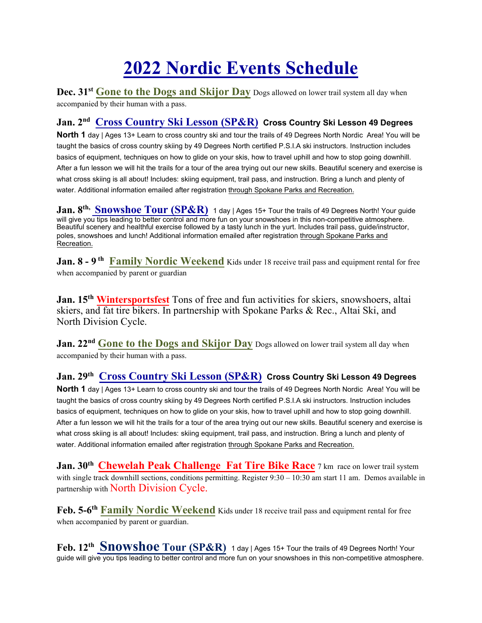## **2022 Nordic Events Schedule**

**Dec. 31st Gone to the Dogs and Skijor Day** Dogs allowed on lower trail system all day when accompanied by their human with a pass.

## **Jan. 2nd Cross Country Ski Lesson (SP&R) Cross Country Ski Lesson 49 Degrees**

**North 1** day | Ages 13+ Learn to cross country ski and tour the trails of 49 Degrees North Nordic Area! You will be taught the basics of cross country skiing by 49 Degrees North certified P.S.I.A ski instructors. Instruction includes basics of equipment, techniques on how to glide on your skis, how to travel uphill and how to stop going downhill. After a fun lesson we will hit the trails for a tour of the area trying out our new skills. Beautiful scenery and exercise is what cross skiing is all about! Includes: skiing equipment, trail pass, and instruction. Bring a lunch and plenty of water. Additional information emailed after registration through Spokane Parks and Recreation.

**Jan. 8<sup>th,</sup> Snowshoe Tour (SP&R)** 1 day | Ages 15+ Tour the trails of 49 Degrees North! Your guide will give you tips leading to better control and more fun on your snowshoes in this non-competitive atmosphere. Beautiful scenery and healthful exercise followed by a tasty lunch in the yurt. Includes trail pass, guide/instructor, poles, snowshoes and lunch! Additional information emailed after registration through Spokane Parks and Recreation.

**Jan. 8 - 9<sup>th</sup> Family Nordic Weekend** Kids under 18 receive trail pass and equipment rental for free when accompanied by parent or guardian

**Jan. 15th Wintersportsfest** Tons of free and fun activities for skiers, snowshoers, altai skiers, and fat tire bikers. In partnership with Spokane Parks & Rec., Altai Ski, and North Division Cycle.

**Jan. 22<sup>nd</sup> Gone to the Dogs and Skijor Day** Dogs allowed on lower trail system all day when accompanied by their human with a pass.

## **Jan. 29th Cross Country Ski Lesson (SP&R) Cross Country Ski Lesson 49 Degrees**

**North 1** day | Ages 13+ Learn to cross country ski and tour the trails of 49 Degrees North Nordic Area! You will be taught the basics of cross country skiing by 49 Degrees North certified P.S.I.A ski instructors. Instruction includes basics of equipment, techniques on how to glide on your skis, how to travel uphill and how to stop going downhill. After a fun lesson we will hit the trails for a tour of the area trying out our new skills. Beautiful scenery and exercise is what cross skiing is all about! Includes: skiing equipment, trail pass, and instruction. Bring a lunch and plenty of water. Additional information emailed after registration through Spokane Parks and Recreation.

**Jan. 30th Chewelah Peak Challenge Fat Tire Bike Race** 7 km race on lower trail system with single track downhill sections, conditions permitting. Register  $9:30 - 10:30$  am start 11 am. Demos available in partnership with North Division Cycle.

**Feb. 5-6th Family Nordic Weekend** Kids under 18 receive trail pass and equipment rental for free when accompanied by parent or guardian.

**Feb. 12th Snowshoe Tour (SP&R)** 1 day | Ages 15+ Tour the trails of 49 Degrees North! Your guide will give you tips leading to better control and more fun on your snowshoes in this non-competitive atmosphere.